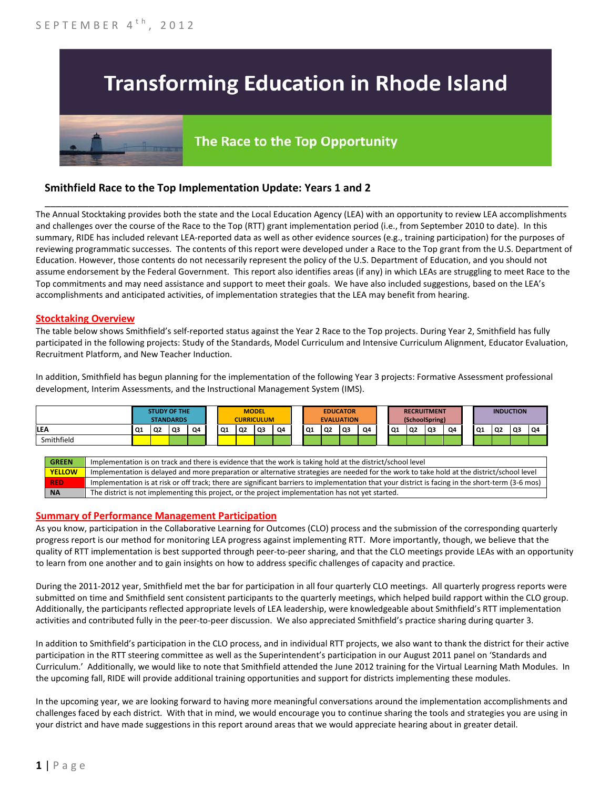## **Transforming Education in Rhode Island**

# The Race to the Top Opportunity

### **Smithfield Race to the Top Implementation Update: Years 1 and 2**

The Annual Stocktaking provides both the state and the Local Education Agency (LEA) with an opportunity to review LEA accomplishments and challenges over the course of the Race to the Top (RTT) grant implementation period (i.e., from September 2010 to date). In this summary, RIDE has included relevant LEA-reported data as well as other evidence sources (e.g., training participation) for the purposes of reviewing programmatic successes. The contents of this report were developed under a Race to the Top grant from the U.S. Department of Education. However, those contents do not necessarily represent the policy of the U.S. Department of Education, and you should not assume endorsement by the Federal Government. This report also identifies areas (if any) in which LEAs are struggling to meet Race to the Top commitments and may need assistance and support to meet their goals. We have also included suggestions, based on the LEA's accomplishments and anticipated activities, of implementation strategies that the LEA may benefit from hearing.

\_\_\_\_\_\_\_\_\_\_\_\_\_\_\_\_\_\_\_\_\_\_\_\_\_\_\_\_\_\_\_\_\_\_\_\_\_\_\_\_\_\_\_\_\_\_\_\_\_\_\_\_\_\_\_\_\_\_\_\_\_\_\_\_\_\_\_\_\_\_\_\_\_\_\_\_\_\_\_\_\_\_\_\_\_\_\_\_\_\_\_\_\_\_\_\_

#### **Stocktaking Overview**

The table below shows Smithfield's self-reported status against the Year 2 Race to the Top projects. During Year 2, Smithfield has fully participated in the following projects: Study of the Standards, Model Curriculum and Intensive Curriculum Alignment, Educator Evaluation, Recruitment Platform, and New Teacher Induction.

In addition, Smithfield has begun planning for the implementation of the following Year 3 projects: Formative Assessment professional development, Interim Assessments, and the Instructional Management System (IMS).



#### **Summary of Performance Management Participation**

As you know, participation in the Collaborative Learning for Outcomes (CLO) process and the submission of the corresponding quarterly progress report is our method for monitoring LEA progress against implementing RTT. More importantly, though, we believe that the quality of RTT implementation is best supported through peer-to-peer sharing, and that the CLO meetings provide LEAs with an opportunity to learn from one another and to gain insights on how to address specific challenges of capacity and practice.

During the 2011-2012 year, Smithfield met the bar for participation in all four quarterly CLO meetings. All quarterly progress reports were submitted on time and Smithfield sent consistent participants to the quarterly meetings, which helped build rapport within the CLO group. Additionally, the participants reflected appropriate levels of LEA leadership, were knowledgeable about Smithfield's RTT implementation activities and contributed fully in the peer-to-peer discussion. We also appreciated Smithfield's practice sharing during quarter 3.

In addition to Smithfield's participation in the CLO process, and in individual RTT projects, we also want to thank the district for their active participation in the RTT steering committee as well as the Superintendent's participation in our August 2011 panel on 'Standards and Curriculum.' Additionally, we would like to note that Smithfield attended the June 2012 training for the Virtual Learning Math Modules. In the upcoming fall, RIDE will provide additional training opportunities and support for districts implementing these modules.

In the upcoming year, we are looking forward to having more meaningful conversations around the implementation accomplishments and challenges faced by each district. With that in mind, we would encourage you to continue sharing the tools and strategies you are using in your district and have made suggestions in this report around areas that we would appreciate hearing about in greater detail.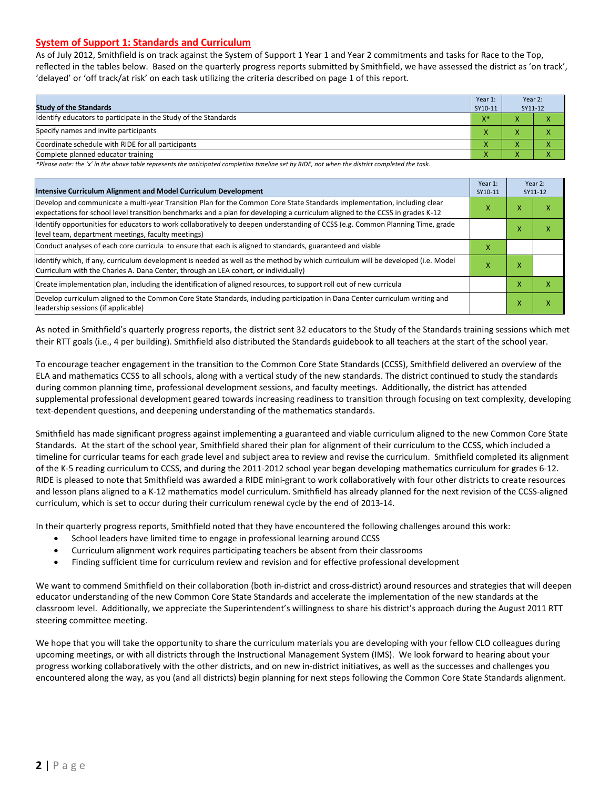#### **System of Support 1: Standards and Curriculum**

As of July 2012, Smithfield is on track against the System of Support 1 Year 1 and Year 2 commitments and tasks for Race to the Top, reflected in the tables below. Based on the quarterly progress reports submitted by Smithfield, we have assessed the district as 'on track', 'delayed' or 'off track/at risk' on each task utilizing the criteria described on page 1 of this report.

| <b>Study of the Standards</b>                                   | Year 1:<br>SY10-11 | Year 2:<br>SY11-12 |  |
|-----------------------------------------------------------------|--------------------|--------------------|--|
| Identify educators to participate in the Study of the Standards | $X^*$              |                    |  |
| Specify names and invite participants                           |                    |                    |  |
| Coordinate schedule with RIDE for all participants              |                    |                    |  |
| Complete planned educator training                              | $\mathbf{\Lambda}$ |                    |  |

*\*Please note: the 'x' in the above table represents the anticipated completion timeline set by RIDE, not when the district completed the task.*

| Intensive Curriculum Alignment and Model Curriculum Development                                                                                                                                                                                           |   |   | Year 2:<br>SY11-12 |
|-----------------------------------------------------------------------------------------------------------------------------------------------------------------------------------------------------------------------------------------------------------|---|---|--------------------|
| Develop and communicate a multi-year Transition Plan for the Common Core State Standards implementation, including clear<br>expectations for school level transition benchmarks and a plan for developing a curriculum aligned to the CCSS in grades K-12 | x | x | ⋏                  |
| Identify opportunities for educators to work collaboratively to deepen understanding of CCSS (e.g. Common Planning Time, grade<br>level team, department meetings, faculty meetings)                                                                      |   |   |                    |
| Conduct analyses of each core curricula to ensure that each is aligned to standards, guaranteed and viable                                                                                                                                                | X |   |                    |
| ldentify which, if any, curriculum development is needed as well as the method by which curriculum will be developed (i.e. Model<br>Curriculum with the Charles A. Dana Center, through an LEA cohort, or individually)                                   | x | x |                    |
| Create implementation plan, including the identification of aligned resources, to support roll out of new curricula                                                                                                                                       |   |   | χ                  |
| Develop curriculum aligned to the Common Core State Standards, including participation in Dana Center curriculum writing and<br>leadership sessions (if applicable)                                                                                       |   |   | χ                  |

As noted in Smithfield's quarterly progress reports, the district sent 32 educators to the Study of the Standards training sessions which met their RTT goals (i.e., 4 per building). Smithfield also distributed the Standards guidebook to all teachers at the start of the school year.

To encourage teacher engagement in the transition to the Common Core State Standards (CCSS), Smithfield delivered an overview of the ELA and mathematics CCSS to all schools, along with a vertical study of the new standards. The district continued to study the standards during common planning time, professional development sessions, and faculty meetings. Additionally, the district has attended supplemental professional development geared towards increasing readiness to transition through focusing on text complexity, developing text-dependent questions, and deepening understanding of the mathematics standards.

Smithfield has made significant progress against implementing a guaranteed and viable curriculum aligned to the new Common Core State Standards. At the start of the school year, Smithfield shared their plan for alignment of their curriculum to the CCSS, which included a timeline for curricular teams for each grade level and subject area to review and revise the curriculum. Smithfield completed its alignment of the K-5 reading curriculum to CCSS, and during the 2011-2012 school year began developing mathematics curriculum for grades 6-12. RIDE is pleased to note that Smithfield was awarded a RIDE mini-grant to work collaboratively with four other districts to create resources and lesson plans aligned to a K-12 mathematics model curriculum. Smithfield has already planned for the next revision of the CCSS-aligned curriculum, which is set to occur during their curriculum renewal cycle by the end of 2013-14.

In their quarterly progress reports, Smithfield noted that they have encountered the following challenges around this work:

- School leaders have limited time to engage in professional learning around CCSS
- Curriculum alignment work requires participating teachers be absent from their classrooms
- Finding sufficient time for curriculum review and revision and for effective professional development

We want to commend Smithfield on their collaboration (both in-district and cross-district) around resources and strategies that will deepen educator understanding of the new Common Core State Standards and accelerate the implementation of the new standards at the classroom level. Additionally, we appreciate the Superintendent's willingness to share his district's approach during the August 2011 RTT steering committee meeting.

We hope that you will take the opportunity to share the curriculum materials you are developing with your fellow CLO colleagues during upcoming meetings, or with all districts through the Instructional Management System (IMS). We look forward to hearing about your progress working collaboratively with the other districts, and on new in-district initiatives, as well as the successes and challenges you encountered along the way, as you (and all districts) begin planning for next steps following the Common Core State Standards alignment.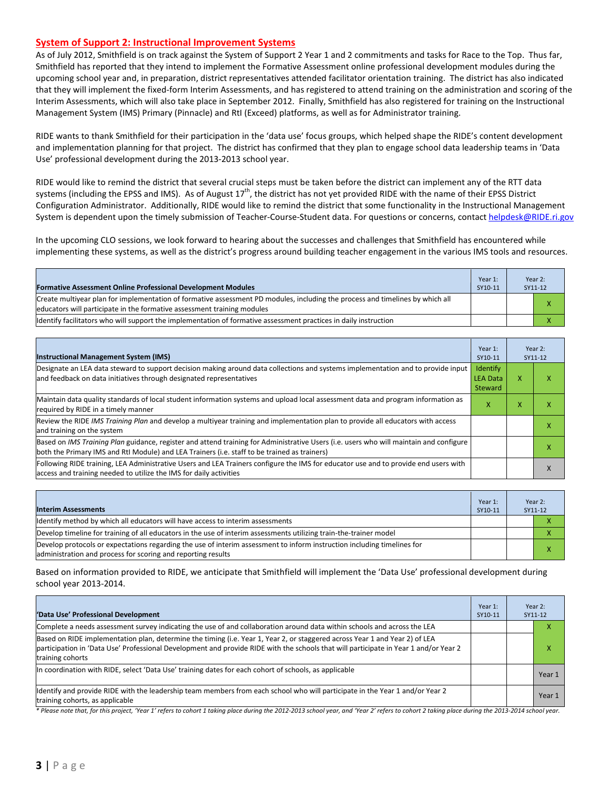#### **System of Support 2: Instructional Improvement Systems**

As of July 2012, Smithfield is on track against the System of Support 2 Year 1 and 2 commitments and tasks for Race to the Top. Thus far, Smithfield has reported that they intend to implement the Formative Assessment online professional development modules during the upcoming school year and, in preparation, district representatives attended facilitator orientation training. The district has also indicated that they will implement the fixed-form Interim Assessments, and has registered to attend training on the administration and scoring of the Interim Assessments, which will also take place in September 2012. Finally, Smithfield has also registered for training on the Instructional Management System (IMS) Primary (Pinnacle) and RtI (Exceed) platforms, as well as for Administrator training.

RIDE wants to thank Smithfield for their participation in the 'data use' focus groups, which helped shape the RIDE's content development and implementation planning for that project. The district has confirmed that they plan to engage school data leadership teams in 'Data Use' professional development during the 2013-2013 school year.

RIDE would like to remind the district that several crucial steps must be taken before the district can implement any of the RTT data systems (including the EPSS and IMS). As of August  $17<sup>th</sup>$ , the district has not yet provided RIDE with the name of their EPSS District Configuration Administrator. Additionally, RIDE would like to remind the district that some functionality in the Instructional Management System is dependent upon the timely submission of Teacher-Course-Student data. For questions or concerns, contac[t helpdesk@RIDE.ri.gov](mailto:helpdesk@RIDE.ri.gov)

In the upcoming CLO sessions, we look forward to hearing about the successes and challenges that Smithfield has encountered while implementing these systems, as well as the district's progress around building teacher engagement in the various IMS tools and resources.

| <b>Formative Assessment Online Professional Development Modules</b>                                                                                                                                      | Year 1:<br>SY10-11 | Year 2:<br>SY11-12 |
|----------------------------------------------------------------------------------------------------------------------------------------------------------------------------------------------------------|--------------------|--------------------|
| Create multivear plan for implementation of formative assessment PD modules, including the process and timelines by which all<br>educators will participate in the formative assessment training modules |                    |                    |
| Ildentify facilitators who will support the implementation of formative assessment practices in daily instruction                                                                                        |                    |                    |

| <b>Instructional Management System (IMS)</b>                                                                                                                                                                                           | Year 1:<br>SY10-11                     |   | Year 2:<br>SY11-12 |
|----------------------------------------------------------------------------------------------------------------------------------------------------------------------------------------------------------------------------------------|----------------------------------------|---|--------------------|
| Designate an LEA data steward to support decision making around data collections and systems implementation and to provide input<br>and feedback on data initiatives through designated representatives                                | Identify<br><b>LEA Data</b><br>Steward | x |                    |
| Maintain data quality standards of local student information systems and upload local assessment data and program information as<br>required by RIDE in a timely manner                                                                |                                        |   |                    |
| Review the RIDE IMS Training Plan and develop a multiyear training and implementation plan to provide all educators with access<br>and training on the system                                                                          |                                        |   | х                  |
| Based on IMS Training Plan guidance, register and attend training for Administrative Users (i.e. users who will maintain and configure<br>both the Primary IMS and RtI Module) and LEA Trainers (i.e. staff to be trained as trainers) |                                        |   |                    |
| Following RIDE training, LEA Administrative Users and LEA Trainers configure the IMS for educator use and to provide end users with<br>access and training needed to utilize the IMS for daily activities                              |                                        |   |                    |

| <b>Interim Assessments</b>                                                                                                                                                              | Year 1:<br>SY10-11 | Year 2:<br>SY11-12 |
|-----------------------------------------------------------------------------------------------------------------------------------------------------------------------------------------|--------------------|--------------------|
| Identify method by which all educators will have access to interim assessments                                                                                                          |                    |                    |
| Develop timeline for training of all educators in the use of interim assessments utilizing train-the-trainer model                                                                      |                    |                    |
| Develop protocols or expectations regarding the use of interim assessment to inform instruction including timelines for<br>administration and process for scoring and reporting results |                    |                    |

Based on information provided to RIDE, we anticipate that Smithfield will implement the 'Data Use' professional development during school year 2013-2014.

| 'Data Use' Professional Development                                                                                                                                                                                                                                                     | Year 1:<br>SY10-11 |  | Year 2:<br>SY11-12 |
|-----------------------------------------------------------------------------------------------------------------------------------------------------------------------------------------------------------------------------------------------------------------------------------------|--------------------|--|--------------------|
| Complete a needs assessment survey indicating the use of and collaboration around data within schools and across the LEA                                                                                                                                                                |                    |  |                    |
| Based on RIDE implementation plan, determine the timing (i.e. Year 1, Year 2, or staggered across Year 1 and Year 2) of LEA<br>participation in 'Data Use' Professional Development and provide RIDE with the schools that will participate in Year 1 and/or Year 2<br>training cohorts |                    |  | x                  |
| In coordination with RIDE, select 'Data Use' training dates for each cohort of schools, as applicable                                                                                                                                                                                   |                    |  | Year 1             |
| Ildentify and provide RIDE with the leadership team members from each school who will participate in the Year 1 and/or Year 2<br>training cohorts, as applicable                                                                                                                        |                    |  | Year 1             |

*\* Please note that, for this project, 'Year 1' refers to cohort 1 taking place during the 2012-2013 school year, and 'Year 2' refers to cohort 2 taking place during the 2013-2014 school year.*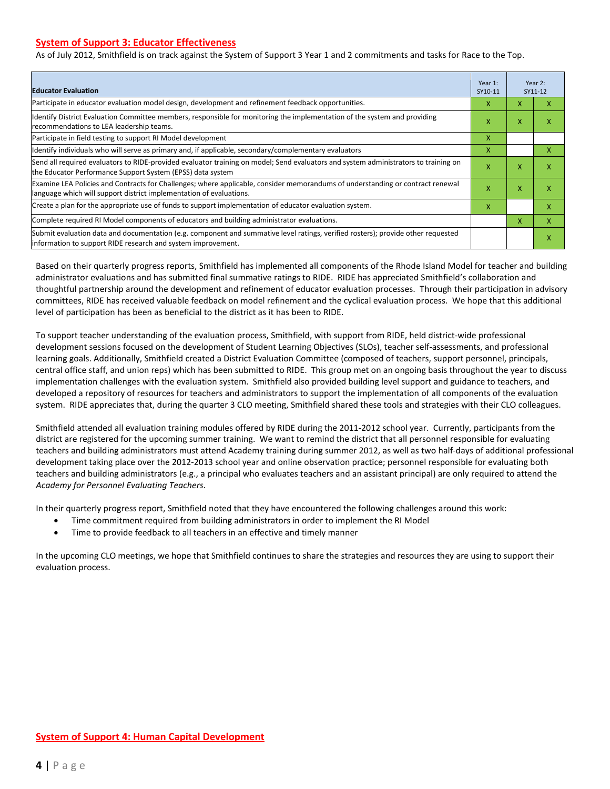#### **System of Support 3: Educator Effectiveness**

As of July 2012, Smithfield is on track against the System of Support 3 Year 1 and 2 commitments and tasks for Race to the Top.

| <b>Educator Evaluation</b>                                                                                                                                                                            |   |   | Year 2:<br>SY11-12 |
|-------------------------------------------------------------------------------------------------------------------------------------------------------------------------------------------------------|---|---|--------------------|
| Participate in educator evaluation model design, development and refinement feedback opportunities.                                                                                                   | x | X | x                  |
| Identify District Evaluation Committee members, responsible for monitoring the implementation of the system and providing<br>recommendations to LEA leadership teams.                                 | x | X | X                  |
| Participate in field testing to support RI Model development                                                                                                                                          | X |   |                    |
| Identify individuals who will serve as primary and, if applicable, secondary/complementary evaluators                                                                                                 | X |   | x                  |
| Send all required evaluators to RIDE-provided evaluator training on model; Send evaluators and system administrators to training on<br>the Educator Performance Support System (EPSS) data system     | X | X | X                  |
| Examine LEA Policies and Contracts for Challenges; where applicable, consider memorandums of understanding or contract renewal<br>language which will support district implementation of evaluations. |   | X | X                  |
| Create a plan for the appropriate use of funds to support implementation of educator evaluation system.                                                                                               |   |   | X                  |
| Complete required RI Model components of educators and building administrator evaluations.                                                                                                            |   |   | x                  |
| Submit evaluation data and documentation (e.g. component and summative level ratings, verified rosters); provide other requested<br>linformation to support RIDE research and system improvement.     |   |   | X                  |

Based on their quarterly progress reports, Smithfield has implemented all components of the Rhode Island Model for teacher and building administrator evaluations and has submitted final summative ratings to RIDE. RIDE has appreciated Smithfield's collaboration and thoughtful partnership around the development and refinement of educator evaluation processes. Through their participation in advisory committees, RIDE has received valuable feedback on model refinement and the cyclical evaluation process. We hope that this additional level of participation has been as beneficial to the district as it has been to RIDE.

To support teacher understanding of the evaluation process, Smithfield, with support from RIDE, held district-wide professional development sessions focused on the development of Student Learning Objectives (SLOs), teacher self-assessments, and professional learning goals. Additionally, Smithfield created a District Evaluation Committee (composed of teachers, support personnel, principals, central office staff, and union reps) which has been submitted to RIDE. This group met on an ongoing basis throughout the year to discuss implementation challenges with the evaluation system. Smithfield also provided building level support and guidance to teachers, and developed a repository of resources for teachers and administrators to support the implementation of all components of the evaluation system. RIDE appreciates that, during the quarter 3 CLO meeting, Smithfield shared these tools and strategies with their CLO colleagues.

Smithfield attended all evaluation training modules offered by RIDE during the 2011-2012 school year. Currently, participants from the district are registered for the upcoming summer training. We want to remind the district that all personnel responsible for evaluating teachers and building administrators must attend Academy training during summer 2012, as well as two half-days of additional professional development taking place over the 2012-2013 school year and online observation practice; personnel responsible for evaluating both teachers and building administrators (e.g., a principal who evaluates teachers and an assistant principal) are only required to attend the *Academy for Personnel Evaluating Teachers*.

In their quarterly progress report, Smithfield noted that they have encountered the following challenges around this work:

- Time commitment required from building administrators in order to implement the RI Model
- Time to provide feedback to all teachers in an effective and timely manner

In the upcoming CLO meetings, we hope that Smithfield continues to share the strategies and resources they are using to support their evaluation process.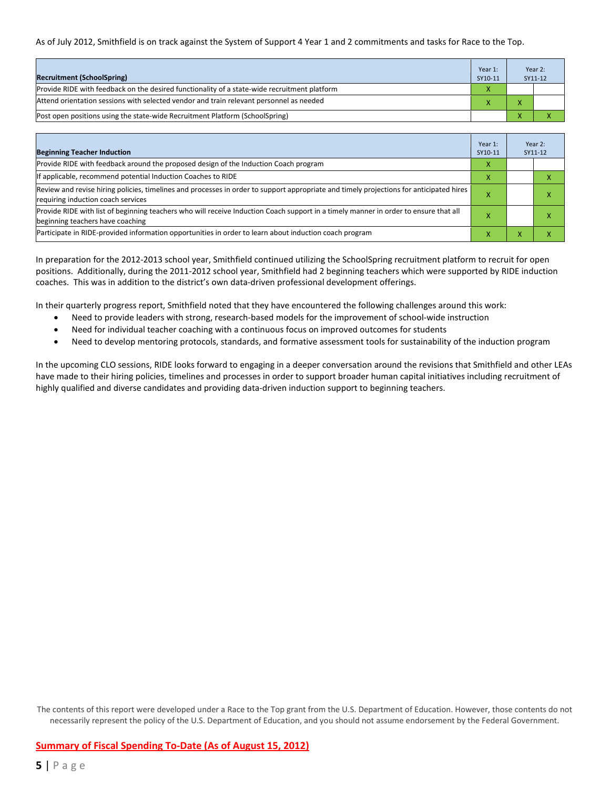#### As of July 2012, Smithfield is on track against the System of Support 4 Year 1 and 2 commitments and tasks for Race to the Top.

| <b>Recruitment (SchoolSpring)</b>                                                            | Year 1:<br>SY10-11 | Year 2:<br>SY11-12 |
|----------------------------------------------------------------------------------------------|--------------------|--------------------|
| Provide RIDE with feedback on the desired functionality of a state-wide recruitment platform |                    |                    |
| Attend orientation sessions with selected vendor and train relevant personnel as needed      |                    |                    |
| [Post open positions using the state-wide Recruitment Platform (SchoolSpring)                |                    |                    |

| <b>Beginning Teacher Induction</b>                                                                                                                                            | Year 1:<br>SY10-11 |                | Year 2:<br>SY11-12 |
|-------------------------------------------------------------------------------------------------------------------------------------------------------------------------------|--------------------|----------------|--------------------|
| Provide RIDE with feedback around the proposed design of the Induction Coach program                                                                                          |                    |                |                    |
| If applicable, recommend potential Induction Coaches to RIDE                                                                                                                  | X                  |                |                    |
| Review and revise hiring policies, timelines and processes in order to support appropriate and timely projections for anticipated hires<br>requiring induction coach services | х                  |                | ^                  |
| Provide RIDE with list of beginning teachers who will receive Induction Coach support in a timely manner in order to ensure that all<br>beginning teachers have coaching      |                    |                | ⋏                  |
| Participate in RIDE-provided information opportunities in order to learn about induction coach program                                                                        | x                  | $\overline{ }$ | ^                  |

In preparation for the 2012-2013 school year, Smithfield continued utilizing the SchoolSpring recruitment platform to recruit for open positions. Additionally, during the 2011-2012 school year, Smithfield had 2 beginning teachers which were supported by RIDE induction coaches. This was in addition to the district's own data-driven professional development offerings.

In their quarterly progress report, Smithfield noted that they have encountered the following challenges around this work:

- Need to provide leaders with strong, research-based models for the improvement of school-wide instruction
- Need for individual teacher coaching with a continuous focus on improved outcomes for students
- Need to develop mentoring protocols, standards, and formative assessment tools for sustainability of the induction program

In the upcoming CLO sessions, RIDE looks forward to engaging in a deeper conversation around the revisions that Smithfield and other LEAs have made to their hiring policies, timelines and processes in order to support broader human capital initiatives including recruitment of highly qualified and diverse candidates and providing data-driven induction support to beginning teachers.

The contents of this report were developed under a Race to the Top grant from the U.S. Department of Education. However, those contents do not necessarily represent the policy of the U.S. Department of Education, and you should not assume endorsement by the Federal Government.